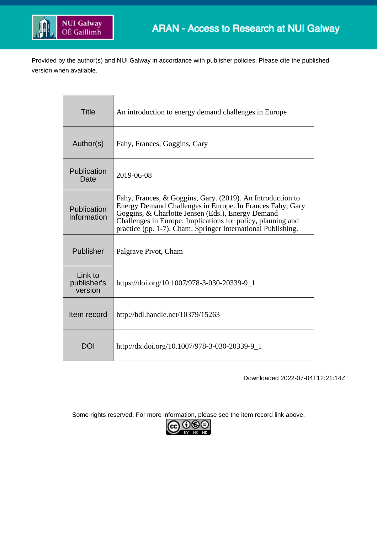

Provided by the author(s) and NUI Galway in accordance with publisher policies. Please cite the published version when available.

| <b>Title</b>                      | An introduction to energy demand challenges in Europe                                                                                                                                                                                                                                                       |
|-----------------------------------|-------------------------------------------------------------------------------------------------------------------------------------------------------------------------------------------------------------------------------------------------------------------------------------------------------------|
| Author(s)                         | Fahy, Frances; Goggins, Gary                                                                                                                                                                                                                                                                                |
| Publication<br>Date               | 2019-06-08                                                                                                                                                                                                                                                                                                  |
| Publication<br>Information        | Fahy, Frances, & Goggins, Gary. (2019). An Introduction to<br>Energy Demand Challenges in Europe. In Frances Fahy, Gary<br>Goggins, & Charlotte Jensen (Eds.), Energy Demand<br>Challenges in Europe: Implications for policy, planning and<br>practice (pp. 1-7). Cham: Springer International Publishing. |
| Publisher                         | Palgrave Pivot, Cham                                                                                                                                                                                                                                                                                        |
| Link to<br>publisher's<br>version | https://doi.org/10.1007/978-3-030-20339-9_1                                                                                                                                                                                                                                                                 |
| Item record                       | http://hdl.handle.net/10379/15263                                                                                                                                                                                                                                                                           |
| <b>DOI</b>                        | http://dx.doi.org/10.1007/978-3-030-20339-9_1                                                                                                                                                                                                                                                               |

Downloaded 2022-07-04T12:21:14Z

Some rights reserved. For more information, please see the item record link above.

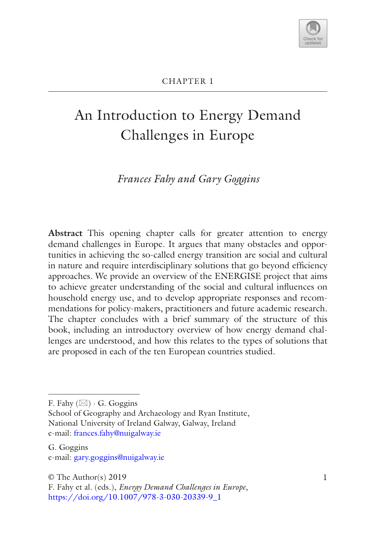

# An Introduction to Energy Demand Challenges in Europe

*Frances Fahy and Gary Goggins*

**Abstract** This opening chapter calls for greater attention to energy demand challenges in Europe. It argues that many obstacles and opportunities in achieving the so-called energy transition are social and cultural in nature and require interdisciplinary solutions that go beyond effciency approaches. We provide an overview of the ENERGISE project that aims to achieve greater understanding of the social and cultural infuences on household energy use, and to develop appropriate responses and recommendations for policy-makers, practitioners and future academic research. The chapter concludes with a brief summary of the structure of this book, including an introductory overview of how energy demand challenges are understood, and how this relates to the types of solutions that are proposed in each of the ten European countries studied.

F. Fahy  $(\boxtimes) \cdot G$ . Goggins

School of Geography and Archaeology and Ryan Institute, National University of Ireland Galway, Galway, Ireland e-mail: frances.fahy@nuigalway.ie

G. Goggins e-mail: gary.goggins@nuigalway.ie

© The Author(s) 2019

F. Fahy et al. (eds.), *Energy Demand Challenges in Europe*, [https://doi.org/10.1007/978-3-030-20339-9\\_1](https://doi.org/10.1007/978-3-030-20339-9_1)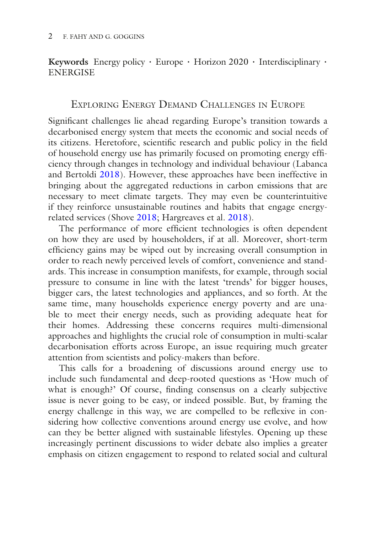**Keywords** Energy policy · Europe · Horizon 2020 · Interdisciplinary · ENERGISE

## Exploring Energy Demand Challenges in Europe

Signifcant challenges lie ahead regarding Europe's transition towards a decarbonised energy system that meets the economic and social needs of its citizens. Heretofore, scientifc research and public policy in the feld of household energy use has primarily focused on promoting energy effciency through changes in technology and individual behaviour (Labanca and Bertoldi [2018\)](#page-6-0). However, these approaches have been ineffective in bringing about the aggregated reductions in carbon emissions that are necessary to meet climate targets. They may even be counterintuitive if they reinforce unsustainable routines and habits that engage energyrelated services (Shove [2018](#page-6-1); Hargreaves et al. [2018\)](#page-6-2).

The performance of more efficient technologies is often dependent on how they are used by householders, if at all. Moreover, short-term effciency gains may be wiped out by increasing overall consumption in order to reach newly perceived levels of comfort, convenience and standards. This increase in consumption manifests, for example, through social pressure to consume in line with the latest 'trends' for bigger houses, bigger cars, the latest technologies and appliances, and so forth. At the same time, many households experience energy poverty and are unable to meet their energy needs, such as providing adequate heat for their homes. Addressing these concerns requires multi-dimensional approaches and highlights the crucial role of consumption in multi-scalar decarbonisation efforts across Europe, an issue requiring much greater attention from scientists and policy-makers than before.

This calls for a broadening of discussions around energy use to include such fundamental and deep-rooted questions as 'How much of what is enough?' Of course, finding consensus on a clearly subjective issue is never going to be easy, or indeed possible. But, by framing the energy challenge in this way, we are compelled to be refexive in considering how collective conventions around energy use evolve, and how can they be better aligned with sustainable lifestyles. Opening up these increasingly pertinent discussions to wider debate also implies a greater emphasis on citizen engagement to respond to related social and cultural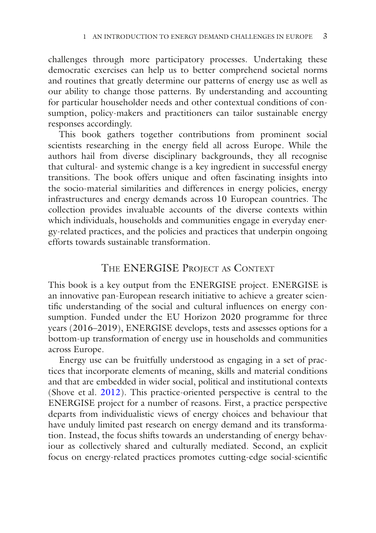challenges through more participatory processes. Undertaking these democratic exercises can help us to better comprehend societal norms and routines that greatly determine our patterns of energy use as well as our ability to change those patterns. By understanding and accounting for particular householder needs and other contextual conditions of consumption, policy-makers and practitioners can tailor sustainable energy responses accordingly.

This book gathers together contributions from prominent social scientists researching in the energy feld all across Europe. While the authors hail from diverse disciplinary backgrounds, they all recognise that cultural- and systemic change is a key ingredient in successful energy transitions. The book offers unique and often fascinating insights into the socio-material similarities and differences in energy policies, energy infrastructures and energy demands across 10 European countries. The collection provides invaluable accounts of the diverse contexts within which individuals, households and communities engage in everyday energy-related practices, and the policies and practices that underpin ongoing efforts towards sustainable transformation.

#### THE ENERGISE PROJECT AS CONTEXT

This book is a key output from the ENERGISE project. ENERGISE is an innovative pan-European research initiative to achieve a greater scientifc understanding of the social and cultural infuences on energy consumption. Funded under the EU Horizon 2020 programme for three years (2016–2019), ENERGISE develops, tests and assesses options for a bottom-up transformation of energy use in households and communities across Europe.

Energy use can be fruitfully understood as engaging in a set of practices that incorporate elements of meaning, skills and material conditions and that are embedded in wider social, political and institutional contexts (Shove et al. [2012\)](#page-6-3). This practice-oriented perspective is central to the ENERGISE project for a number of reasons. First, a practice perspective departs from individualistic views of energy choices and behaviour that have unduly limited past research on energy demand and its transformation. Instead, the focus shifts towards an understanding of energy behaviour as collectively shared and culturally mediated. Second, an explicit focus on energy-related practices promotes cutting-edge social-scientifc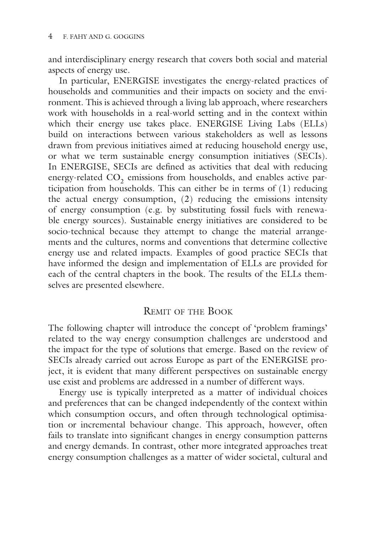and interdisciplinary energy research that covers both social and material aspects of energy use.

In particular, ENERGISE investigates the energy-related practices of households and communities and their impacts on society and the environment. This is achieved through a living lab approach, where researchers work with households in a real-world setting and in the context within which their energy use takes place. ENERGISE Living Labs (ELLs) build on interactions between various stakeholders as well as lessons drawn from previous initiatives aimed at reducing household energy use, or what we term sustainable energy consumption initiatives (SECIs). In ENERGISE, SECIs are defned as activities that deal with reducing energy-related CO<sub>2</sub> emissions from households, and enables active participation from households. This can either be in terms of (1) reducing the actual energy consumption, (2) reducing the emissions intensity of energy consumption (e.g. by substituting fossil fuels with renewable energy sources). Sustainable energy initiatives are considered to be socio-technical because they attempt to change the material arrangements and the cultures, norms and conventions that determine collective energy use and related impacts. Examples of good practice SECIs that have informed the design and implementation of ELLs are provided for each of the central chapters in the book. The results of the ELLs themselves are presented elsewhere.

### Remit of the Book

The following chapter will introduce the concept of 'problem framings' related to the way energy consumption challenges are understood and the impact for the type of solutions that emerge. Based on the review of SECIs already carried out across Europe as part of the ENERGISE project, it is evident that many different perspectives on sustainable energy use exist and problems are addressed in a number of different ways.

Energy use is typically interpreted as a matter of individual choices and preferences that can be changed independently of the context within which consumption occurs, and often through technological optimisation or incremental behaviour change. This approach, however, often fails to translate into signifcant changes in energy consumption patterns and energy demands. In contrast, other more integrated approaches treat energy consumption challenges as a matter of wider societal, cultural and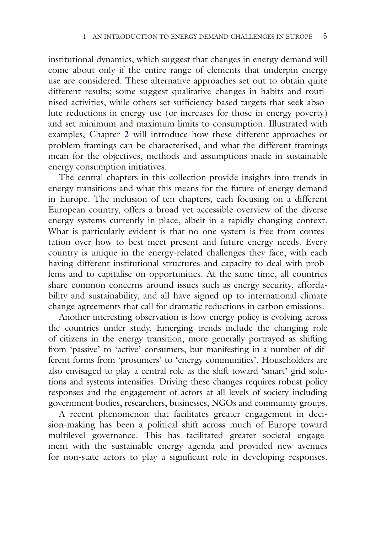institutional dynamics, which suggest that changes in energy demand will come about only if the entire range of elements that underpin energy use are considered. These alternative approaches set out to obtain quite different results; some suggest qualitative changes in habits and routinised activities, while others set suffciency-based targets that seek absolute reductions in energy use (or increases for those in energy poverty) and set minimum and maximum limits to consumption. Illustrated with examples, Chapter [2](http://dx.doi.org/10.1007/978-3-030-20339-9_2) will introduce how these different approaches or problem framings can be characterised, and what the different framings mean for the objectives, methods and assumptions made in sustainable energy consumption initiatives.

The central chapters in this collection provide insights into trends in energy transitions and what this means for the future of energy demand in Europe. The inclusion of ten chapters, each focusing on a different European country, offers a broad yet accessible overview of the diverse energy systems currently in place, albeit in a rapidly changing context. What is particularly evident is that no one system is free from contestation over how to best meet present and future energy needs. Every country is unique in the energy-related challenges they face, with each having different institutional structures and capacity to deal with problems and to capitalise on opportunities. At the same time, all countries share common concerns around issues such as energy security, affordability and sustainability, and all have signed up to international climate change agreements that call for dramatic reductions in carbon emissions.

Another interesting observation is how energy policy is evolving across the countries under study. Emerging trends include the changing role of citizens in the energy transition, more generally portrayed as shifting from 'passive' to 'active' consumers, but manifesting in a number of different forms from 'prosumers' to 'energy communities'. Householders are also envisaged to play a central role as the shift toward 'smart' grid solutions and systems intensifes. Driving these changes requires robust policy responses and the engagement of actors at all levels of society including government bodies, researchers, businesses, NGOs and community groups.

A recent phenomenon that facilitates greater engagement in decision-making has been a political shift across much of Europe toward multilevel governance. This has facilitated greater societal engagement with the sustainable energy agenda and provided new avenues for non-state actors to play a signifcant role in developing responses.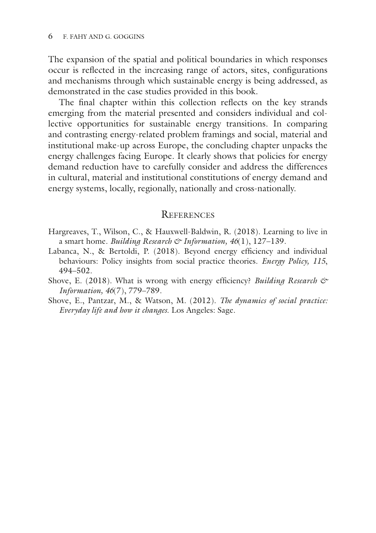The expansion of the spatial and political boundaries in which responses occur is refected in the increasing range of actors, sites, confgurations and mechanisms through which sustainable energy is being addressed, as demonstrated in the case studies provided in this book.

The fnal chapter within this collection refects on the key strands emerging from the material presented and considers individual and collective opportunities for sustainable energy transitions. In comparing and contrasting energy-related problem framings and social, material and institutional make-up across Europe, the concluding chapter unpacks the energy challenges facing Europe. It clearly shows that policies for energy demand reduction have to carefully consider and address the differences in cultural, material and institutional constitutions of energy demand and energy systems, locally, regionally, nationally and cross-nationally.

#### **REFERENCES**

- <span id="page-6-2"></span>Hargreaves, T., Wilson, C., & Hauxwell-Baldwin, R. (2018). Learning to live in a smart home. *Building Research & Information, 46*(1), 127–139.
- <span id="page-6-0"></span>Labanca, N., & Bertoldi, P. (2018). Beyond energy efficiency and individual behaviours: Policy insights from social practice theories. *Energy Policy, 115*, 494–502.
- <span id="page-6-1"></span>Shove, E. (2018). What is wrong with energy efficiency? *Building Research & Information, 46*(7), 779–789.
- <span id="page-6-3"></span>Shove, E., Pantzar, M., & Watson, M. (2012). *The dynamics of social practice: Everyday life and how it changes*. Los Angeles: Sage.